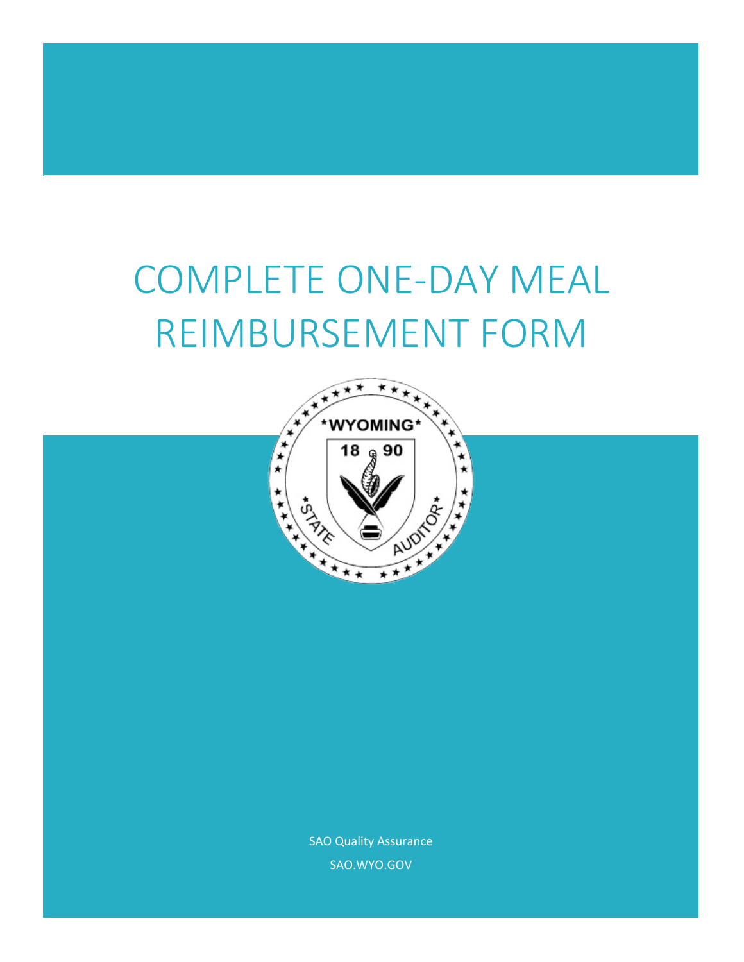# COMPLETE ONE-DAY MEAL REIMBURSEMENT FORM



SAO Quality Assurance SAO.WYO.GOV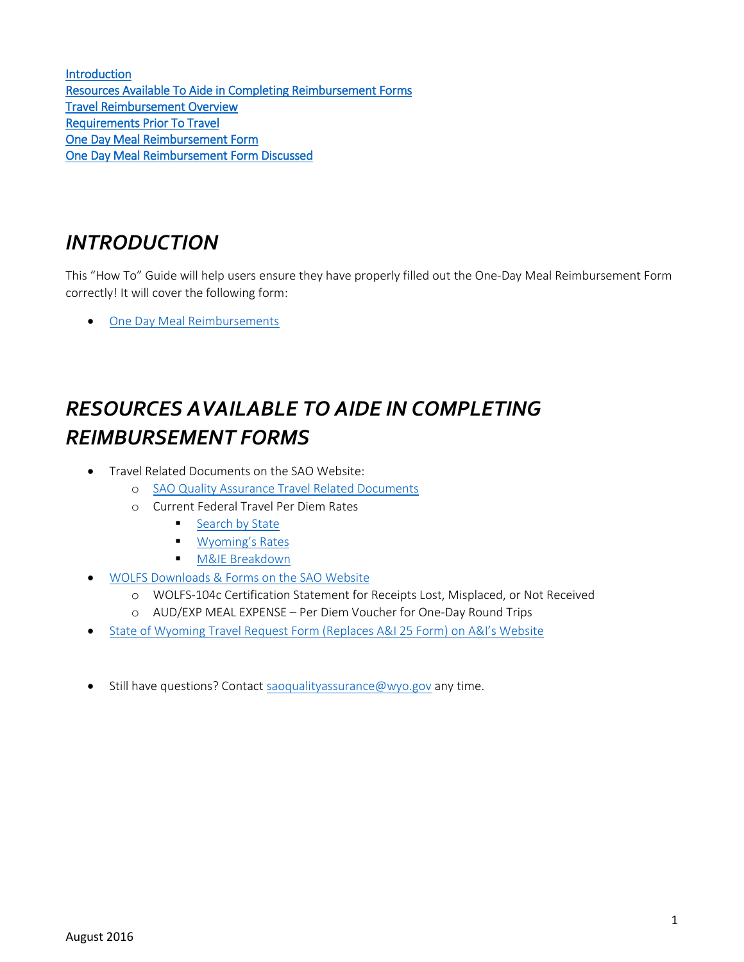**Introduction** [Resources Available To Aide in Completing Reimbursement Forms](#page-1-1)  [Travel Reimbursement Overview](#page-2-0)  [Requirements Prior To Travel](#page-2-1)  [One Day Meal Reimbursement Form](#page-3-0)  [One Day Meal Reimbursement Form Discussed](#page-4-0) 

#### <span id="page-1-0"></span>*INTRODUCTION*

This "How To" Guide will help users ensure they have properly filled out the One-Day Meal Reimbursement Form correctly! It will cover the following form:

[One Day Meal Reimbursements](#page-3-0)

# <span id="page-1-1"></span>*RESOURCES AVAILABLE TO AIDE IN COMPLETING REIMBURSEMENT FORMS*

- Travel Related Documents on the SAO Website:
	- o [SAO Quality Assurance Travel Related Documents](http://sao.wyo.gov/agency-resources/quality-assurance/quality-assurance-preaudit)
	- o Current Federal Travel Per Diem Rates
		- [Search by State](http://www.gsa.gov/portal/content/104877)
		- **[Wyoming's Rates](http://www.gsa.gov/portal/category/100120)**
		- **N&IE Breakdown**
- WOLFS Downloads & [Forms on the SAO Website](o%09https:/sites.google.com/a/wyo.gov/sao/agency-resources/wolfs/sao-downloads)
	- o WOLFS-104c Certification Statement for Receipts Lost, Misplaced, or Not Received
	- o AUD/EXP MEAL EXPENSE Per Diem Voucher for One-Day Round Trips
- [State of Wyoming Travel Request Form \(Replaces A&I 25 Form\) on A&I's Website](o%09https:/drive.google.com/a/wyo.gov/file/d/0ByrvesK3noAbdmx1LWdkMTBObnpXMGJCQjlwTWc1YzZuN1hR/view)
- Still have questions? Contact [saoqualityassurance@wyo.gov](mailto:saoqualityassurance@wyo.gov) any time.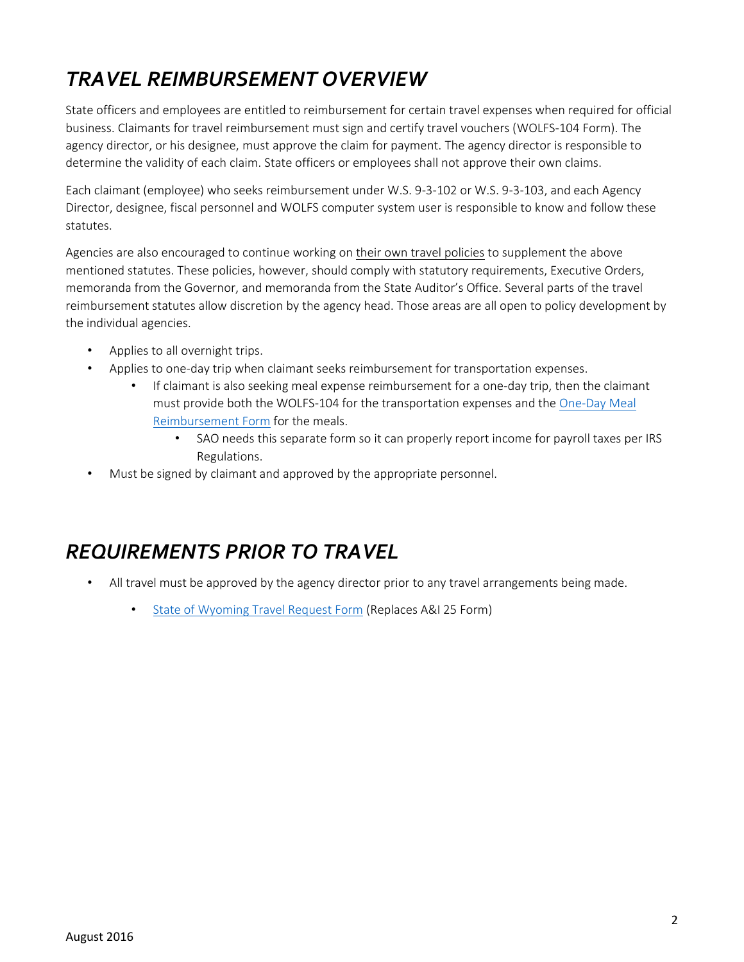## <span id="page-2-0"></span>*TRAVEL REIMBURSEMENT OVERVIEW*

State officers and employees are entitled to reimbursement for certain travel expenses when required for official business. Claimants for travel reimbursement must sign and certify travel vouchers (WOLFS-104 Form). The agency director, or his designee, must approve the claim for payment. The agency director is responsible to determine the validity of each claim. State officers or employees shall not approve their own claims.

Each claimant (employee) who seeks reimbursement under W.S. 9-3-102 or W.S. 9-3-103, and each Agency Director, designee, fiscal personnel and WOLFS computer system user is responsible to know and follow these statutes.

Agencies are also encouraged to continue working on their own travel policies to supplement the above mentioned statutes. These policies, however, should comply with statutory requirements, Executive Orders, memoranda from the Governor, and memoranda from the State Auditor's Office. Several parts of the travel reimbursement statutes allow discretion by the agency head. Those areas are all open to policy development by the individual agencies.

- Applies to all overnight trips.
- Applies to one-day trip when claimant seeks reimbursement for transportation expenses.
	- If claimant is also seeking meal expense reimbursement for a one-day trip, then the claimant must provide both the WOLFS-104 for the transportation expenses and the [One-Day Meal](http://sao.wyo.gov/agency-resources/wolfs/sao-downloads)  [Reimbursement Form](http://sao.wyo.gov/agency-resources/wolfs/sao-downloads) for the meals.
		- SAO needs this separate form so it can properly report income for payroll taxes per IRS Regulations.
- Must be signed by claimant and approved by the appropriate personnel.

## <span id="page-2-1"></span>*REQUIREMENTS PRIOR TO TRAVEL*

- All travel must be approved by the agency director prior to any travel arrangements being made.
	- [State of Wyoming Travel Request Form](WY%20Travel%20Request%20Form%20Revised%20June%201,%202016%20(Replaces%20AI%2025).pdf) (Replaces A&I 25 Form)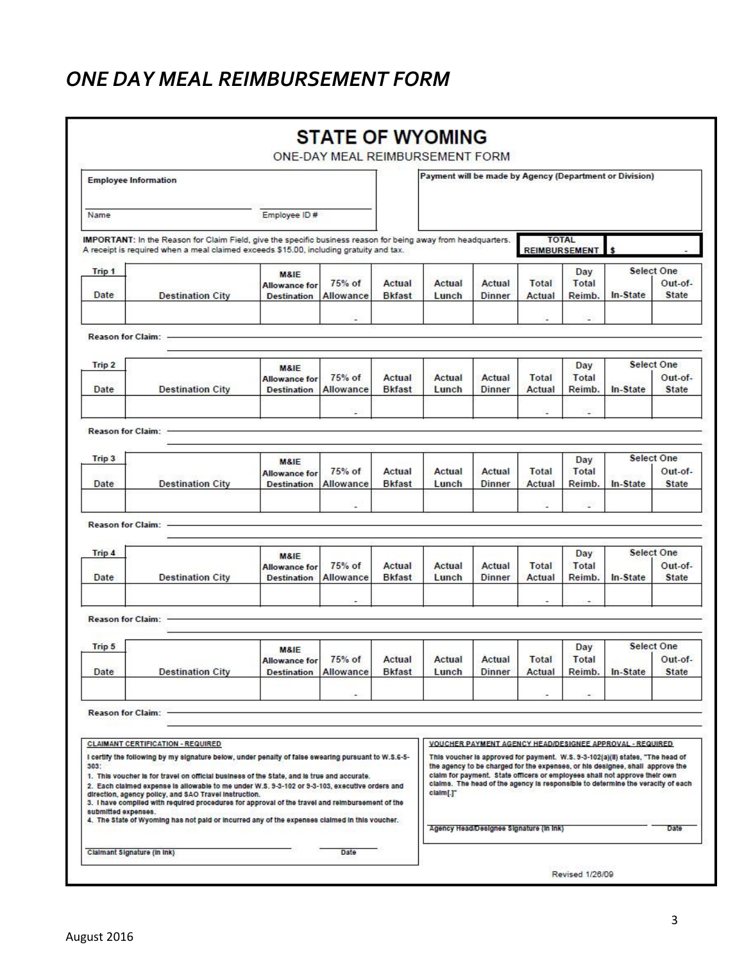#### <span id="page-3-0"></span>*ONE DAY MEAL REIMBURSEMENT FORM*

| <b>Employee Information</b>                                                                                                                                                                                                                                                                                                                                                                                                                                                                                                                                                                                                                 |                         |                                                               |                                                |                         | Payment will be made by Agency (Department or Division)                                                                                                                                                                                                                                                                                                                                                   |                         |                                                  |                          |                                                          |                                              |
|---------------------------------------------------------------------------------------------------------------------------------------------------------------------------------------------------------------------------------------------------------------------------------------------------------------------------------------------------------------------------------------------------------------------------------------------------------------------------------------------------------------------------------------------------------------------------------------------------------------------------------------------|-------------------------|---------------------------------------------------------------|------------------------------------------------|-------------------------|-----------------------------------------------------------------------------------------------------------------------------------------------------------------------------------------------------------------------------------------------------------------------------------------------------------------------------------------------------------------------------------------------------------|-------------------------|--------------------------------------------------|--------------------------|----------------------------------------------------------|----------------------------------------------|
| Name                                                                                                                                                                                                                                                                                                                                                                                                                                                                                                                                                                                                                                        |                         | Employee ID#                                                  |                                                |                         |                                                                                                                                                                                                                                                                                                                                                                                                           |                         |                                                  |                          |                                                          |                                              |
| IMPORTANT: In the Reason for Claim Field, give the specific business reason for being away from headquarters.<br>A receipt is required when a meal claimed exceeds \$15.00, including gratuity and tax.                                                                                                                                                                                                                                                                                                                                                                                                                                     |                         |                                                               |                                                |                         |                                                                                                                                                                                                                                                                                                                                                                                                           |                         | <b>TOTAL</b><br><b>REIMBURSEMENT</b>             |                          |                                                          |                                              |
| Trip 1<br>Date                                                                                                                                                                                                                                                                                                                                                                                                                                                                                                                                                                                                                              | <b>Destination City</b> | <b>M&amp;IE</b><br><b>Allowance for</b><br><b>Destination</b> | 75% of<br>Allowance                            | Actual<br><b>Bkfast</b> | Actual<br>Lunch                                                                                                                                                                                                                                                                                                                                                                                           | Actual<br>Dinner        | Total<br>Actual                                  | Day<br>Total<br>Reimb.   | In-State                                                 | <b>Select One</b><br>Out-of-<br><b>State</b> |
|                                                                                                                                                                                                                                                                                                                                                                                                                                                                                                                                                                                                                                             |                         |                                                               | $\overline{\phantom{a}}$                       |                         |                                                                                                                                                                                                                                                                                                                                                                                                           |                         | ۰                                                | $\overline{\phantom{a}}$ |                                                          |                                              |
| <b>Reason for Claim:</b>                                                                                                                                                                                                                                                                                                                                                                                                                                                                                                                                                                                                                    |                         |                                                               |                                                |                         |                                                                                                                                                                                                                                                                                                                                                                                                           |                         |                                                  |                          |                                                          |                                              |
| Trip 2<br>Date                                                                                                                                                                                                                                                                                                                                                                                                                                                                                                                                                                                                                              | <b>Destination City</b> | M&IE<br><b>Allowance for</b><br><b>Destination</b>            | 75% of<br>Allowance                            | Actual<br><b>Bkfast</b> | Actual<br>Lunch                                                                                                                                                                                                                                                                                                                                                                                           | Actual<br><b>Dinner</b> | Total<br>Actual                                  | Day<br>Total<br>Reimb.   | In-State                                                 | Select One<br>Out-of-<br><b>State</b>        |
|                                                                                                                                                                                                                                                                                                                                                                                                                                                                                                                                                                                                                                             |                         |                                                               |                                                |                         |                                                                                                                                                                                                                                                                                                                                                                                                           |                         |                                                  | $\overline{\phantom{a}}$ |                                                          |                                              |
| Reason for Claim: -                                                                                                                                                                                                                                                                                                                                                                                                                                                                                                                                                                                                                         |                         |                                                               |                                                |                         |                                                                                                                                                                                                                                                                                                                                                                                                           |                         |                                                  |                          |                                                          |                                              |
| Trip <sub>3</sub><br>Date                                                                                                                                                                                                                                                                                                                                                                                                                                                                                                                                                                                                                   | <b>Destination City</b> | <b>M&amp;IE</b><br><b>Allowance for</b><br><b>Destination</b> | $75%$ of<br>Allowance                          | Actual<br><b>Bkfast</b> | Actual<br>Lunch                                                                                                                                                                                                                                                                                                                                                                                           | Actual<br><b>Dinner</b> | Total<br>Actual                                  | Day<br>Total<br>Reimb.   | In-State                                                 | <b>Select One</b><br>Out-of-<br><b>State</b> |
|                                                                                                                                                                                                                                                                                                                                                                                                                                                                                                                                                                                                                                             |                         |                                                               | $\overline{\phantom{a}}$                       |                         |                                                                                                                                                                                                                                                                                                                                                                                                           |                         | ü                                                | e.                       |                                                          |                                              |
| <b>Reason for Claim:</b>                                                                                                                                                                                                                                                                                                                                                                                                                                                                                                                                                                                                                    |                         |                                                               |                                                |                         |                                                                                                                                                                                                                                                                                                                                                                                                           |                         |                                                  |                          |                                                          |                                              |
| Trip 4<br>Date                                                                                                                                                                                                                                                                                                                                                                                                                                                                                                                                                                                                                              | <b>Destination City</b> | M&IE<br><b>Allowance for</b><br><b>Destination</b>            | 75% of<br>Actual<br>Allowance<br><b>Bkfast</b> |                         | Actual<br>Actual<br><b>Dinner</b><br>Lunch                                                                                                                                                                                                                                                                                                                                                                |                         | Day<br><b>Total</b><br>Total<br>Actual<br>Reimb. |                          | <b>Select One</b><br>Out-of-<br>In-State<br><b>State</b> |                                              |
|                                                                                                                                                                                                                                                                                                                                                                                                                                                                                                                                                                                                                                             |                         |                                                               |                                                |                         |                                                                                                                                                                                                                                                                                                                                                                                                           |                         |                                                  |                          |                                                          |                                              |
| <b>Reason for Claim:</b>                                                                                                                                                                                                                                                                                                                                                                                                                                                                                                                                                                                                                    |                         |                                                               |                                                |                         |                                                                                                                                                                                                                                                                                                                                                                                                           |                         |                                                  |                          |                                                          |                                              |
| Trip 5                                                                                                                                                                                                                                                                                                                                                                                                                                                                                                                                                                                                                                      |                         | M&IE<br><b>Allowance for</b>                                  | $75%$ of                                       | Actual                  | Actual                                                                                                                                                                                                                                                                                                                                                                                                    | Actual                  | <b>Total</b>                                     | Day<br>Total             |                                                          | <b>Select One</b><br>Out-of-                 |
| Date                                                                                                                                                                                                                                                                                                                                                                                                                                                                                                                                                                                                                                        | <b>Destination City</b> | <b>Destination Allowance</b>                                  |                                                | <b>Bkfast</b>           | Lunch                                                                                                                                                                                                                                                                                                                                                                                                     | Dinner                  | Actual                                           | Reimb.                   | In-State                                                 | <b>State</b>                                 |
| <b>Reason for Claim:</b>                                                                                                                                                                                                                                                                                                                                                                                                                                                                                                                                                                                                                    |                         |                                                               |                                                |                         |                                                                                                                                                                                                                                                                                                                                                                                                           |                         |                                                  |                          |                                                          |                                              |
| <b>CLAIMANT CERTIFICATION - REQUIRED</b><br>I certify the following by my signature below, under penalty of false swearing pursuant to W.S.6-5-<br>303:<br>1. This voucher is for travel on official business of the State, and is true and accurate.<br>2. Each claimed expense is allowable to me under W.S. 9-3-102 or 9-3-103, executive orders and<br>direction, agency policy, and SAO Travel Instruction.<br>3. I have compiled with required procedures for approval of the travel and reimbursement of the<br>submitted expenses.<br>4. The State of Wyoming has not paid or incurred any of the expenses claimed in this voucher. |                         |                                                               |                                                |                         | VOUCHER PAYMENT AGENCY HEAD/DESIGNEE APPROVAL - REQUIRED<br>This voucher is approved for payment. W.S. 9-3-102(a)(ii) states, "The head of<br>the agency to be charged for the expenses, or his designee, shall approve the<br>claim for payment. State officers or employees shall not approve their own<br>claims. The head of the agency is responsible to determine the veracity of each<br>claim[.]" |                         |                                                  |                          |                                                          |                                              |
|                                                                                                                                                                                                                                                                                                                                                                                                                                                                                                                                                                                                                                             |                         |                                                               |                                                |                         | Agency Head/Designee Signature (in Ink)<br>Date                                                                                                                                                                                                                                                                                                                                                           |                         |                                                  |                          |                                                          |                                              |